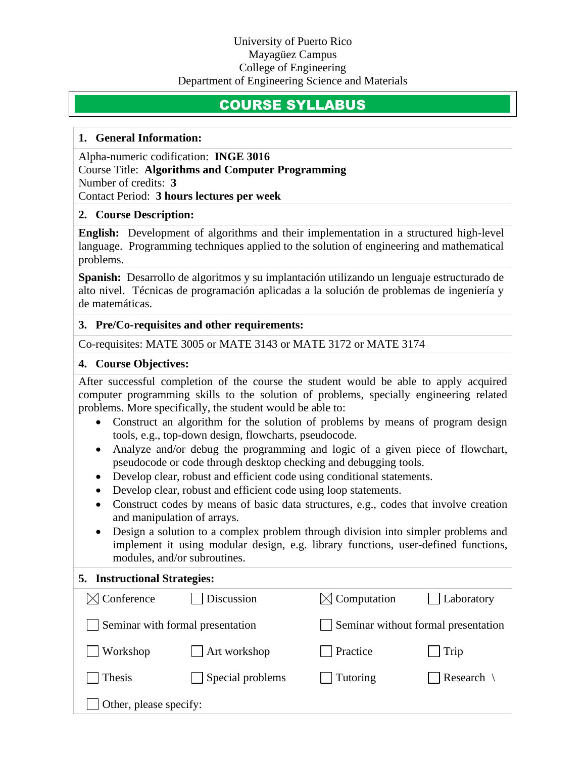### University of Puerto Rico Mayagüez Campus College of Engineering Department of Engineering Science and Materials

# COURSE SYLLABUS

#### **1. General Information:**

Alpha-numeric codification: **INGE 3016** Course Title: **Algorithms and Computer Programming** Number of credits: **3** Contact Period: **3 hours lectures per week**

#### **2. Course Description:**

**English:** Development of algorithms and their implementation in a structured high-level language. Programming techniques applied to the solution of engineering and mathematical problems.

**Spanish:** Desarrollo de algoritmos y su implantación utilizando un lenguaje estructurado de alto nivel. Técnicas de programación aplicadas a la solución de problemas de ingeniería y de matemáticas.

### **3. Pre/Co-requisites and other requirements:**

Co-requisites: MATE 3005 or MATE 3143 or MATE 3172 or MATE 3174

# **4. Course Objectives:**

After successful completion of the course the student would be able to apply acquired computer programming skills to the solution of problems, specially engineering related problems. More specifically, the student would be able to:

- Construct an algorithm for the solution of problems by means of program design tools, e.g., top-down design, flowcharts, pseudocode.
- Analyze and/or debug the programming and logic of a given piece of flowchart, pseudocode or code through desktop checking and debugging tools.
- Develop clear, robust and efficient code using conditional statements.
- Develop clear, robust and efficient code using loop statements.
- Construct codes by means of basic data structures, e.g., codes that involve creation and manipulation of arrays.
- Design a solution to a complex problem through division into simpler problems and implement it using modular design, e.g. library functions, user-defined functions, modules, and/or subroutines.

### **5. Instructional Strategies:**

| $\boxtimes$ Conference           | Discussion              | $\boxtimes$ Computation             | Laboratory   |
|----------------------------------|-------------------------|-------------------------------------|--------------|
| Seminar with formal presentation |                         | Seminar without formal presentation |              |
| Workshop                         | Art workshop            | Practice                            | $\vert$ Trip |
| Thesis                           | $\Box$ Special problems | Tutoring                            | Research     |
| Other, please specify:           |                         |                                     |              |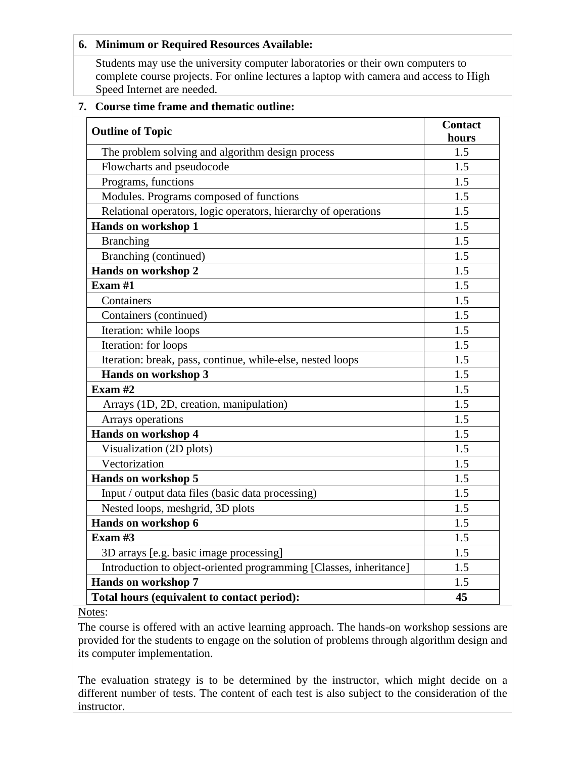| 6. Minimum or Required Resources Available:                                                                                                                                                            |                         |  |  |
|--------------------------------------------------------------------------------------------------------------------------------------------------------------------------------------------------------|-------------------------|--|--|
| Students may use the university computer laboratories or their own computers to<br>complete course projects. For online lectures a laptop with camera and access to High<br>Speed Internet are needed. |                         |  |  |
| Course time frame and thematic outline:<br>7.                                                                                                                                                          |                         |  |  |
| <b>Outline of Topic</b>                                                                                                                                                                                | <b>Contact</b><br>hours |  |  |
| The problem solving and algorithm design process                                                                                                                                                       | 1.5                     |  |  |
| Flowcharts and pseudocode                                                                                                                                                                              | 1.5                     |  |  |
| Programs, functions                                                                                                                                                                                    | 1.5                     |  |  |
| Modules. Programs composed of functions                                                                                                                                                                | 1.5                     |  |  |
| Relational operators, logic operators, hierarchy of operations                                                                                                                                         | 1.5                     |  |  |
| <b>Hands on workshop 1</b>                                                                                                                                                                             | 1.5                     |  |  |
| <b>Branching</b>                                                                                                                                                                                       | 1.5                     |  |  |
| Branching (continued)                                                                                                                                                                                  | 1.5                     |  |  |
| Hands on workshop 2                                                                                                                                                                                    | 1.5                     |  |  |
| Exam $#1$                                                                                                                                                                                              | 1.5                     |  |  |
| Containers                                                                                                                                                                                             | 1.5                     |  |  |
| Containers (continued)                                                                                                                                                                                 | 1.5                     |  |  |
| Iteration: while loops                                                                                                                                                                                 | 1.5                     |  |  |
| Iteration: for loops                                                                                                                                                                                   | 1.5                     |  |  |
| Iteration: break, pass, continue, while-else, nested loops                                                                                                                                             | 1.5                     |  |  |
| Hands on workshop 3                                                                                                                                                                                    | 1.5                     |  |  |
| Exam $#2$                                                                                                                                                                                              | 1.5                     |  |  |
| Arrays (1D, 2D, creation, manipulation)                                                                                                                                                                | 1.5                     |  |  |
| Arrays operations                                                                                                                                                                                      | 1.5                     |  |  |
| Hands on workshop 4                                                                                                                                                                                    | 1.5                     |  |  |
| Visualization (2D plots)                                                                                                                                                                               | 1.5                     |  |  |
| Vectorization                                                                                                                                                                                          | 1.5                     |  |  |
| Hands on workshop 5                                                                                                                                                                                    | 1.5                     |  |  |
| Input / output data files (basic data processing)                                                                                                                                                      | 1.5                     |  |  |
| Nested loops, meshgrid, 3D plots                                                                                                                                                                       | 1.5                     |  |  |
| Hands on workshop 6                                                                                                                                                                                    | 1.5                     |  |  |
| Exam #3                                                                                                                                                                                                | 1.5                     |  |  |
| 3D arrays [e.g. basic image processing]                                                                                                                                                                | 1.5                     |  |  |
| Introduction to object-oriented programming [Classes, inheritance]                                                                                                                                     | 1.5                     |  |  |
| Hands on workshop 7                                                                                                                                                                                    | 1.5                     |  |  |
| Total hours (equivalent to contact period):                                                                                                                                                            | 45                      |  |  |

Notes:

The course is offered with an active learning approach. The hands-on workshop sessions are provided for the students to engage on the solution of problems through algorithm design and its computer implementation.

The evaluation strategy is to be determined by the instructor, which might decide on a different number of tests. The content of each test is also subject to the consideration of the instructor.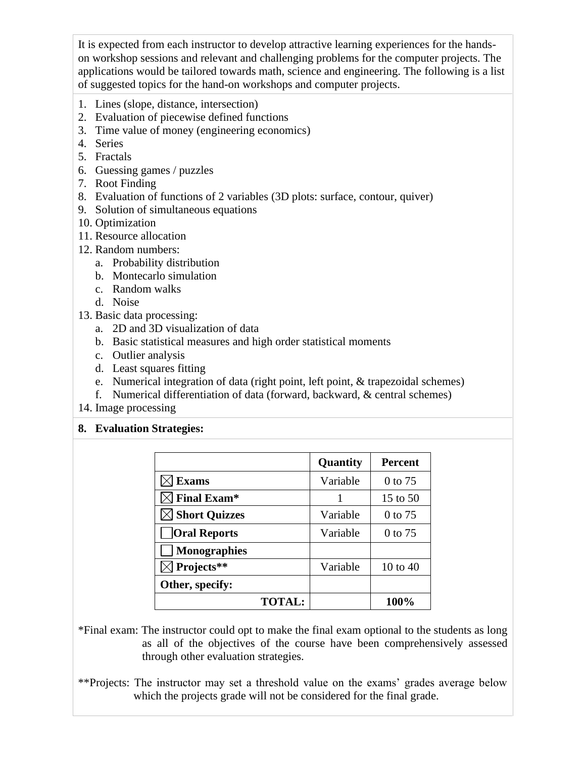It is expected from each instructor to develop attractive learning experiences for the handson workshop sessions and relevant and challenging problems for the computer projects. The applications would be tailored towards math, science and engineering. The following is a list of suggested topics for the hand-on workshops and computer projects.

- 1. Lines (slope, distance, intersection)
- 2. Evaluation of piecewise defined functions
- 3. Time value of money (engineering economics)
- 4. Series
- 5. Fractals
- 6. Guessing games / puzzles
- 7. Root Finding
- 8. Evaluation of functions of 2 variables (3D plots: surface, contour, quiver)
- 9. Solution of simultaneous equations
- 10. Optimization
- 11. Resource allocation
- 12. Random numbers:
	- a. Probability distribution
	- b. Montecarlo simulation
	- c. Random walks
	- d. Noise
- 13. Basic data processing:
	- a. 2D and 3D visualization of data
	- b. Basic statistical measures and high order statistical moments
	- c. Outlier analysis
	- d. Least squares fitting
	- e. Numerical integration of data (right point, left point, & trapezoidal schemes)
	- f. Numerical differentiation of data (forward, backward, & central schemes)
- 14. Image processing

# **8. Evaluation Strategies:**

|                     | Quantity | <b>Percent</b> |
|---------------------|----------|----------------|
| <b>Exams</b>        | Variable | 0 to 75        |
| <b>Final Exam*</b>  |          | 15 to 50       |
| Short Quizzes       | Variable | $0$ to 75      |
| Oral Reports        | Variable | 0 to 75        |
| <b>Monographies</b> |          |                |
| Projects**          | Variable | 10 to $40$     |
| Other, specify:     |          |                |
| <b>TOTAL:</b>       |          | 100%           |

- \*Final exam: The instructor could opt to make the final exam optional to the students as long as all of the objectives of the course have been comprehensively assessed through other evaluation strategies.
- \*\*Projects: The instructor may set a threshold value on the exams' grades average below which the projects grade will not be considered for the final grade.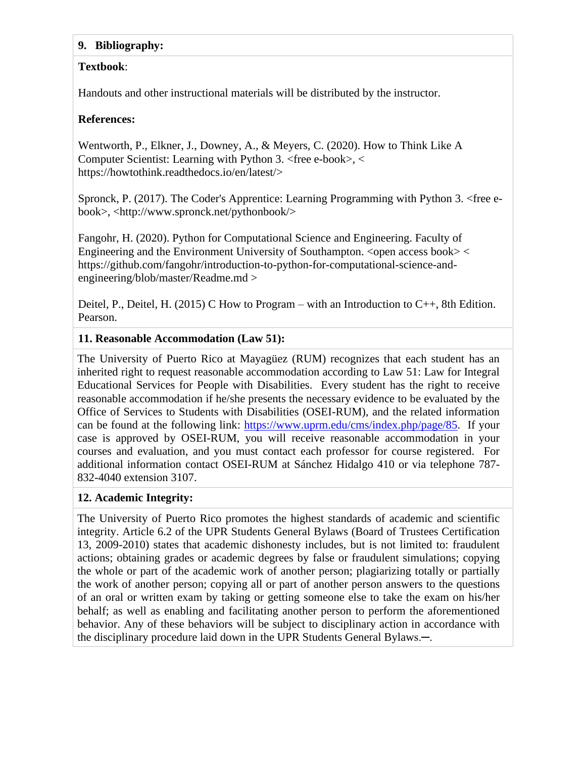### **9. Bibliography:**

# **Textbook**:

Handouts and other instructional materials will be distributed by the instructor.

# **References:**

Wentworth, P., Elkner, J., Downey, A., & Meyers, C. (2020). How to Think Like A Computer Scientist: Learning with Python 3. <free e-book>, < [https://howtothink.readthedocs.io/en/latest/>](https://howtothink.readthedocs.io/en/latest/)

Spronck, P. (2017). The Coder's Apprentice: Learning Programming with Python 3. <free ebook>, [<http://www.spronck.net/pythonbook/>](http://www.spronck.net/pythonbook/)

Fangohr, H. (2020). Python for Computational Science and Engineering. Faculty of Engineering and the Environment University of Southampton.  $\langle$  open access book $\rangle$   $\langle$ [https://github.com/fangohr/introduction-to-python-for-computational-science-and](https://github.com/fangohr/introduction-to-python-for-computational-science-and-engineering/blob/master/Readme.md)[engineering/blob/master/Readme.md](https://github.com/fangohr/introduction-to-python-for-computational-science-and-engineering/blob/master/Readme.md) >

Deitel, P., Deitel, H. (2015) C How to Program – with an Introduction to  $C_{++}$ , 8th Edition. Pearson.

# **11. Reasonable Accommodation (Law 51):**

The University of Puerto Rico at Mayagüez (RUM) recognizes that each student has an inherited right to request reasonable accommodation according to Law 51: Law for Integral Educational Services for People with Disabilities. Every student has the right to receive reasonable accommodation if he/she presents the necessary evidence to be evaluated by the Office of Services to Students with Disabilities (OSEI-RUM), and the related information can be found at the following link: [https://www.uprm.edu/cms/index.php/page/85.](https://www.uprm.edu/cms/index.php/page/85) If your case is approved by OSEI-RUM, you will receive reasonable accommodation in your courses and evaluation, and you must contact each professor for course registered. For additional information contact OSEI-RUM at Sánchez Hidalgo 410 or via telephone 787- 832-4040 extension 3107.

# **12. Academic Integrity:**

The University of Puerto Rico promotes the highest standards of academic and scientific integrity. Article 6.2 of the UPR Students General Bylaws (Board of Trustees Certification 13, 2009-2010) states that academic dishonesty includes, but is not limited to: fraudulent actions; obtaining grades or academic degrees by false or fraudulent simulations; copying the whole or part of the academic work of another person; plagiarizing totally or partially the work of another person; copying all or part of another person answers to the questions of an oral or written exam by taking or getting someone else to take the exam on his/her behalf; as well as enabling and facilitating another person to perform the aforementioned behavior. Any of these behaviors will be subject to disciplinary action in accordance with the disciplinary procedure laid down in the UPR Students General Bylaws.─.